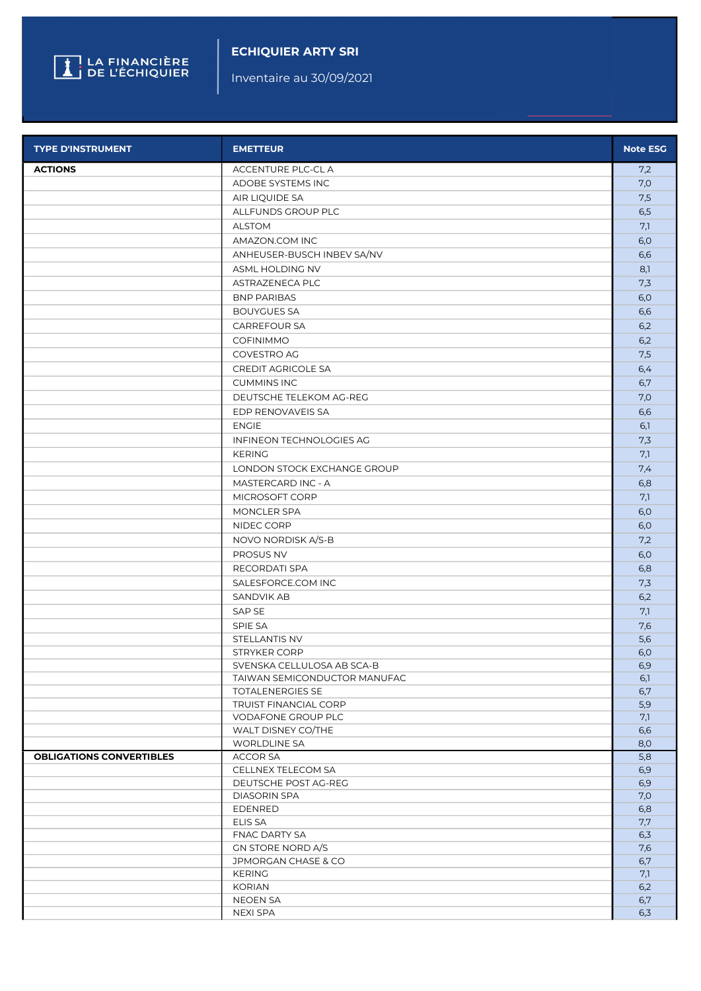

## ECHIQUIER ARTY SRI

Inventaire au 30/09/2021

| <b>TYPE D'INSTRUMENT</b>        | <b>EMETTEUR</b>                                    | <b>Note ESG</b> |
|---------------------------------|----------------------------------------------------|-----------------|
| <b>ACTIONS</b>                  | <b>ACCENTURE PLC-CLA</b>                           | 7,2             |
|                                 | ADOBE SYSTEMS INC                                  | 7,0             |
|                                 | AIR LIQUIDE SA                                     | 7,5             |
|                                 | ALLFUNDS GROUP PLC                                 | 6,5             |
|                                 | <b>ALSTOM</b>                                      | 7,1             |
|                                 | AMAZON.COM INC                                     | 6,0             |
|                                 | ANHEUSER-BUSCH INBEV SA/NV                         | 6,6             |
|                                 | ASML HOLDING NV                                    | 8,1             |
|                                 | ASTRAZENECA PLC                                    | 7,3             |
|                                 | <b>BNP PARIBAS</b>                                 | 6,0             |
|                                 | <b>BOUYGUES SA</b>                                 | 6,6             |
|                                 | CARREFOUR SA                                       | 6,2             |
|                                 | <b>COFINIMMO</b>                                   | 6,2             |
|                                 | COVESTRO AG                                        | 7,5             |
|                                 | <b>CREDIT AGRICOLE SA</b>                          | 6,4             |
|                                 | <b>CUMMINS INC</b>                                 | 6,7             |
|                                 | DEUTSCHE TELEKOM AG-REG                            | 7,0             |
|                                 | EDP RENOVAVEIS SA                                  |                 |
|                                 |                                                    | 6,6             |
|                                 | <b>ENGIE</b>                                       | 6,1             |
|                                 | INFINEON TECHNOLOGIES AG                           | 7,3             |
|                                 | <b>KERING</b>                                      | 7,1             |
|                                 | LONDON STOCK EXCHANGE GROUP                        | 7,4             |
|                                 | MASTERCARD INC - A                                 | 6,8             |
|                                 | MICROSOFT CORP                                     | 7,1             |
|                                 | MONCLER SPA                                        | 6,0             |
|                                 | NIDEC CORP                                         | 6,0             |
|                                 | NOVO NORDISK A/S-B                                 | 7,2             |
|                                 | PROSUS NV                                          | 6,0             |
|                                 | RECORDATI SPA                                      | 6,8             |
|                                 | SALESFORCE.COM INC                                 | 7,3             |
|                                 | <b>SANDVIK AB</b>                                  | 6,2             |
|                                 | SAP SE                                             | 7,1             |
|                                 | SPIE SA                                            | 7,6             |
|                                 | STELLANTIS NV                                      | 5,6             |
|                                 | STRYKER CORP                                       | 6,0             |
|                                 | SVENSKA CELLULOSA AB SCA-B                         | 6,9             |
|                                 | TAIWAN SEMICONDUCTOR MANUFAC                       | 6,1             |
|                                 | <b>TOTALENERGIES SE</b>                            | 6,7             |
|                                 | <b>TRUIST FINANCIAL CORP</b><br>VODAFONE GROUP PLC | 5,9             |
|                                 | WALT DISNEY CO/THE                                 | 7,1<br>6,6      |
|                                 | <b>WORLDLINE SA</b>                                | 8,0             |
| <b>OBLIGATIONS CONVERTIBLES</b> | ACCOR SA                                           | 5,8             |
|                                 | CELLNEX TELECOM SA                                 | 6,9             |
|                                 | DEUTSCHE POST AG-REG                               | 6,9             |
|                                 | <b>DIASORIN SPA</b>                                | 7,0             |
|                                 | <b>EDENRED</b>                                     | 6,8             |
|                                 | <b>ELIS SA</b>                                     | 7,7             |
|                                 | <b>FNAC DARTY SA</b>                               | 6,3             |
|                                 | GN STORE NORD A/S                                  | 7,6             |
|                                 | JPMORGAN CHASE & CO                                | 6,7             |
|                                 | <b>KERING</b>                                      | 7,1             |
|                                 | <b>KORIAN</b>                                      | 6,2             |
|                                 | NEOEN SA                                           | 6,7             |
|                                 | <b>NEXI SPA</b>                                    | 6,3             |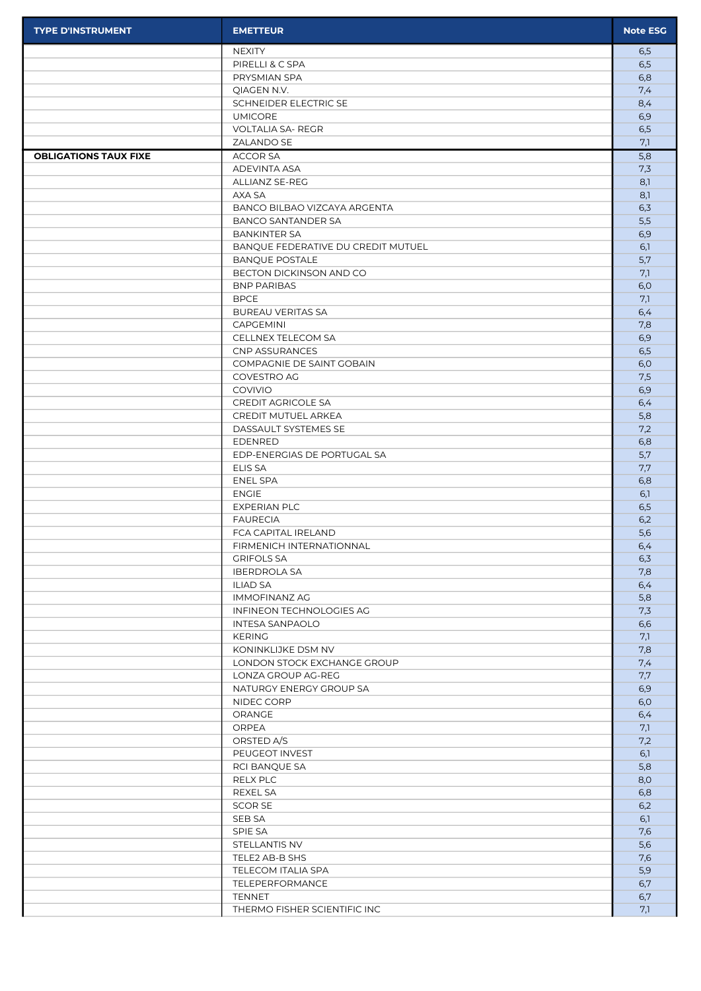| <b>TYPE D'INSTRUMENT</b>     | <b>EMETTEUR</b>                               | <b>Note ESG</b> |
|------------------------------|-----------------------------------------------|-----------------|
|                              | <b>NEXITY</b>                                 | 6,5             |
|                              | PIRELLI & C SPA                               | 6,5             |
|                              | PRYSMIAN SPA                                  | 6,8             |
|                              | QIAGEN N.V.<br>SCHNEIDER ELECTRIC SE          | 7,4<br>8,4      |
|                              | <b>UMICORE</b>                                | 6,9             |
|                              | <b>VOLTALIA SA- REGR</b>                      | 6,5             |
|                              | ZALANDO SE                                    | 7,1             |
| <b>OBLIGATIONS TAUX FIXE</b> | <b>ACCOR SA</b>                               | 5,8             |
|                              | ADEVINTA ASA                                  | 7,3             |
|                              | ALLIANZ SE-REG                                | 8,1             |
|                              | AXA SA<br>BANCO BILBAO VIZCAYA ARGENTA        | 8,1<br>6,3      |
|                              | <b>BANCO SANTANDER SA</b>                     | 5,5             |
|                              | <b>BANKINTER SA</b>                           | 6,9             |
|                              | BANQUE FEDERATIVE DU CREDIT MUTUEL            | 6,1             |
|                              | <b>BANQUE POSTALE</b>                         | 5,7             |
|                              | BECTON DICKINSON AND CO                       | 7,1             |
|                              | <b>BNP PARIBAS</b>                            | 6,0             |
|                              | <b>BPCE</b>                                   | 7,1             |
|                              | <b>BUREAU VERITAS SA</b><br><b>CAPGEMINI</b>  | 6,4<br>7,8      |
|                              | CELLNEX TELECOM SA                            | 6,9             |
|                              | CNP ASSURANCES                                | 6,5             |
|                              | COMPAGNIE DE SAINT GOBAIN                     | 6,0             |
|                              | COVESTRO AG                                   | 7,5             |
|                              | COVIVIO                                       | 6,9             |
|                              | <b>CREDIT AGRICOLE SA</b>                     | 6,4             |
|                              | CREDIT MUTUEL ARKEA                           | 5,8             |
|                              | DASSAULT SYSTEMES SE                          | 7,2             |
|                              | <b>EDENRED</b><br>EDP-ENERGIAS DE PORTUGAL SA | 6,8<br>5,7      |
|                              | ELIS SA                                       | 7,7             |
|                              | ENEL SPA                                      | 6,8             |
|                              | <b>ENGIE</b>                                  | 6,1             |
|                              | <b>EXPERIAN PLC</b>                           | 6,5             |
|                              | <b>FAURECIA</b>                               | 6,2             |
|                              | FCA CAPITAL IRELAND                           | 5,6             |
|                              | FIRMENICH INTERNATIONNAL                      | 6,4             |
|                              | <b>GRIFOLS SA</b><br><b>IBERDROLA SA</b>      | 6,3<br>7,8      |
|                              | <b>ILIAD SA</b>                               | 6,4             |
|                              | <b>IMMOFINANZ AG</b>                          | 5,8             |
|                              | INFINEON TECHNOLOGIES AG                      | 7,3             |
|                              | <b>INTESA SANPAOLO</b>                        | 6,6             |
|                              | <b>KERING</b>                                 | 7,1             |
|                              | KONINKLIJKE DSM NV                            | 7,8             |
|                              | LONDON STOCK EXCHANGE GROUP                   | 7,4             |
|                              | LONZA GROUP AG-REG<br>NATURGY ENERGY GROUP SA | 7,7<br>6,9      |
|                              | NIDEC CORP                                    | 6,0             |
|                              | ORANGE                                        | 6,4             |
|                              | ORPEA                                         | 7,1             |
|                              | ORSTED A/S                                    | 7,2             |
|                              | PEUGEOT INVEST                                | 6,1             |
|                              | RCI BANQUE SA                                 | 5,8             |
|                              | RELX PLC                                      | 8,0             |
|                              | REXEL SA                                      | 6,8             |
|                              | SCOR SE<br>SEB SA                             | 6,2<br>6,1      |
|                              | SPIE SA                                       | 7,6             |
|                              | STELLANTIS NV                                 | 5,6             |
|                              | TELE2 AB-B SHS                                | 7,6             |
|                              | TELECOM ITALIA SPA                            | 5,9             |
|                              | TELEPERFORMANCE                               | 6,7             |
|                              | TENNET                                        | 6,7             |
|                              | THERMO FISHER SCIENTIFIC INC                  | 7.1             |